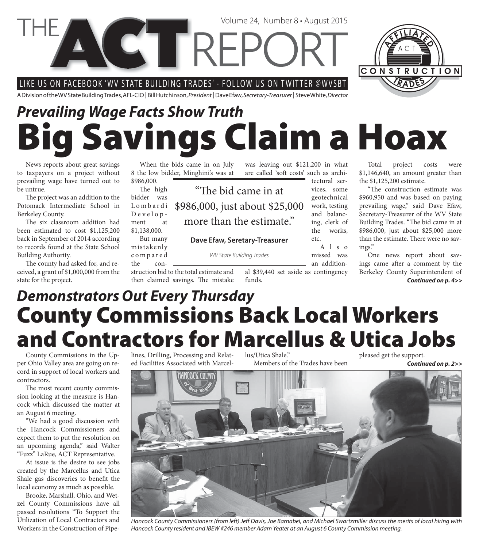LIKE US ON FACEBOOK 'WV STATE BUILDING TRADES' - FOLLOW US ON TWITTER @WVSBT

A Division of the WV State Building Trades, AFL-CIO | Bill Hutchinson, President | Dave Efaw, Secretary-Treasurer | Steve White, Director

CT TREPC

# **Big Savings Claim a Hoax** *Prevailing Wage Facts Show Truth*

"The bid came in at

more than the estimate."

**Dave Efaw, Seretary-Treasurer**

WV State Building Trades

News reports about great savings to taxpayers on a project without prevailing wage have turned out to be untrue.

The project was an addition to the Potomack Intermediate School in Berkeley County.

The six classroom addition had been estimated to cost \$1,125,200 back in September of 2014 according to records found at the State School Building Authority.

The county had asked for, and received, a grant of \$1,000,000 from the state for the project.

When the bids came in on July 8 the low bidder, Minghini's was at \$986,000.

The high bidder was L o m b a r d i Development at

\$1,138,000. But many

mistakenly c o m p a r e d

the con-

struction bid to the total estimate and then claimed savings. The mistake

funds.

are called 'soft costs' such as architectural services, some geotechnical \$986,000, just about \$25,000

work, testing and balancing, clerk of the works, etc.

 $A \mid s \mid o$ missed was

an addition-

al \$39,440 set aside as contingency

was leaving out \$121,200 in what

Volume 24, Number 8 • August 2015

Total project costs were \$1,146,640, an amount greater than the \$1,125,200 estimate.

"The construction estimate was \$960,950 and was based on paying prevailing wage," said Dave Efaw, Secretary-Treasurer of the WV State Building Trades. "The bid came in at \$986,000, just about \$25,000 more than the estimate. There were no savings."

One news report about savings came after a comment by the Berkeley County Superintendent of *Continued on p. 4>>*

#### **County Commissions Back Local Workers and Contractors for Marcellus & Utica Jobs** *Demonstrators Out Every Thursday*

County Commissions in the Upper Ohio Valley area are going on record in support of local workers and contractors.

The most recent county commission looking at the measure is Hancock which discussed the matter at an August 6 meeting.

"We had a good discussion with the Hancock Commissioners and expect them to put the resolution on an upcoming agenda," said Walter "Fuzz" LaRue, ACT Representative.

At issue is the desire to see jobs created by the Marcellus and Utica Shale gas discoveries to benefit the local economy as much as possible.

Brooke, Marshall, Ohio, and Wetzel County Commissions have all passed resolutions "To Support the Utilization of Local Contractors and Workers in the Construction of Pipelines, Drilling, Processing and Related Facilities Associated with Marcellus/Utica Shale." Members of the Trades have been pleased get the support. *Continued on p. 2>>*



Hancock County Commissioners (from left) Jeff Davis, Joe Barnabei, and Michael Swartzmiller discuss the merits of local hiring with Hancock County resident and IBEW #246 member Adam Yeater at an August 6 County Commission meeting.

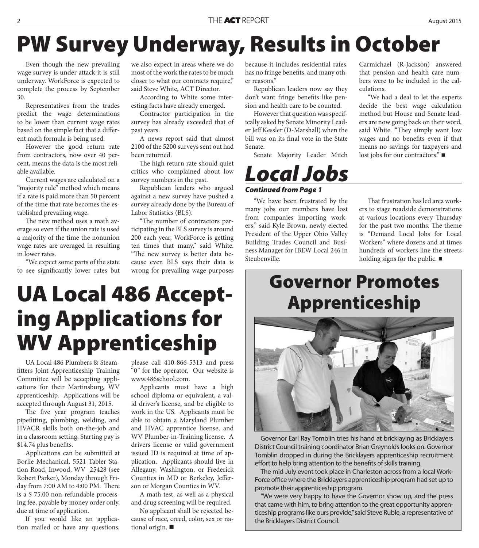#### **PW Survey Underway, Results in October**

Even though the new prevailing wage survey is under attack it is still underway. WorkForce is expected to complete the process by September 30.

Representatives from the trades predict the wage determinations to be lower than current wage rates based on the simple fact that a different math formula is being used.

However the good return rate from contractors, now over 40 percent, means the data is the most reliable available.

Current wages are calculated on a "majority rule" method which means if a rate is paid more than 50 percent of the time that rate becomes the established prevailing wage.

The new method uses a math average so even if the union rate is used a majority of the time the nonunion wage rates are averaged in resulting in lower rates.

"We expect some parts of the state to see significantly lower rates but we also expect in areas where we do most of the work the rates to be much closer to what our contracts require," said Steve White, ACT Director.

According to White some interesting facts have already emerged.

Contractor participation in the survey has already exceeded that of past years.

A news report said that almost 2100 of the 5200 surveys sent out had been returned.

The high return rate should quiet critics who complained about low survey numbers in the past.

Republican leaders who argued against a new survey have pushed a survey already done by the Bureau of Labor Statistics (BLS).

"The number of contractors participating in the BLS survey is around 200 each year, WorkForce is getting ten times that many," said White. "The new survey is better data because even BLS says their data is wrong for prevailing wage purposes

because it includes residential rates, has no fringe benefits, and many other reasons."

Republican leaders now say they don't want fringe benefits like pension and health care to be counted.

However that question was specifically asked by Senate Minority Leader Jeff Kessler (D-Marshall) when the bill was on its final vote in the State Senate.

Senate Majority Leader Mitch

#### *Local Jobs*

#### *Continued from Page 1*

"We have been frustrated by the many jobs our members have lost from companies importing workers," said Kyle Brown, newly elected President of the Upper Ohio Valley Building Trades Council and Business Manager for IBEW Local 246 in Steubenville.

Carmichael (R-Jackson) answered that pension and health care numbers were to be included in the calculations.

"We had a deal to let the experts decide the best wage calculation method but House and Senate leaders are now going back on their word, said White. "They simply want low wages and no benefits even if that means no savings for taxpayers and lost jobs for our contractors." ■

That frustration has led area workers to stage roadside demonstrations at various locations every Thursday for the past two months. The theme is "Demand Local Jobs for Local Workers" where dozens and at times hundreds of workers line the streets holding signs for the public.

# **Governor Promotes UA Local 486 Accept- Apprenticeship ing Applications for WV Apprenticeship**

UA Local 486 Plumbers & Steamfitters Joint Apprenticeship Training Committee will be accepting applications for their Martinsburg, WV apprenticeship. Applications will be accepted through August 31, 2015.

The five year program teaches pipefitting, plumbing, welding, and HVACR skills both on-the-job and in a classroom setting. Starting pay is \$14.74 plus benefits.

Applications can be submitted at Borlie Mechanical, 5521 Tabler Station Road, Inwood, WV 25428 (see Robert Parker), Monday through Friday from 7:00 AM to 4:00 PM. There is a \$ 75.00 non-refundable processing fee, payable by money order only, due at time of application.

If you would like an application mailed or have any questions, please call 410-866-5313 and press "0" for the operator. Our website is www.486school.com.

Applicants must have a high school diploma or equivalent, a valid driver's license, and be eligible to work in the US. Applicants must be able to obtain a Maryland Plumber and HVAC apprentice license, and WV Plumber-in-Training license. A drivers license or valid government issued ID is required at time of application. Applicants should live in Allegany, Washington, or Frederick Counties in MD or Berkeley, Jefferson or Morgan Counties in WV.

A math test, as well as a physical and drug screening will be required.

No applicant shall be rejected because of race, creed, color, sex or national origin.



Governor Earl Ray Tomblin tries his hand at bricklaying as Bricklayers District Council training coordinator Brian Greynolds looks on. Governor Tomblin dropped in during the Bricklayers apprenticeship recruitment effort to help bring attention to the benefits of skills training.

The mid-July event took place in Charleston across from a local Work-Force office where the Bricklayers apprenticeship program had set up to promote their apprenticeship program.

"We were very happy to have the Governor show up, and the press that came with him, to bring attention to the great opportunity apprenticeship programs like ours provide," said Steve Ruble, a representative of the Bricklayers District Council.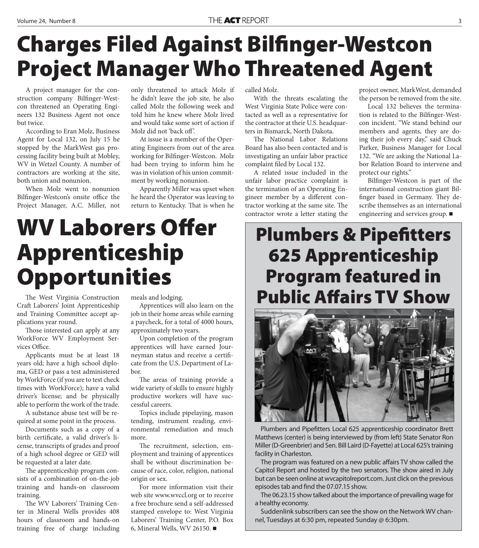## **Charges Filed Against Bilfinger-Westcon Project Manager Who Threatened Agent**

A project manager for the construction company Bilfinger-Westcon threatened an Operating Engineers 132 Business Agent not once but twice.

According to Eran Molz, Business Agent for Local 132, on July 15 he stopped by the MarkWest gas processing facility being built at Mobley, WV in Wetzel County. A number of contractors are working at the site, both union and nonunion.

When Molz went to nonunion Bilfinger-Westcon's onsite office the Project Manager, A.C. Miller, not

only threatened to attack Molz if he didn't leave the job site, he also called Molz the following week and told him he knew where Molz lived and would take some sort of action if Molz did not 'back off '.

At issue is a member of the Operating Engineers from out of the area working for Bilfinger-Westcon. Molz had been trying to inform him he was in violation of his union commitment by working nonunion.

Apparently Miller was upset when he heard the Operator was leaving to return to Kentucky. That is when he called Molz.

With the threats escalating the West Virginia State Police were contacted as well as a representative for the contractor at their U.S. headquarters in Bismarck, North Dakota.

The National Labor Relations Board has also been contacted and is investigating an unfair labor practice complaint filed by Local 132.

A related issue included in the unfair labor practice complaint is the termination of an Operating Engineer member by a different contractor working at the same site. The contractor wrote a letter stating the

project owner, MarkWest, demanded the person be removed from the site.

Local 132 believes the termination is related to the Bilfinger-Westcon incident. "We stand behind our members and agents, they are doing their job every day," said Chuck Parker, Business Manager for Local 132. "We are asking the National Labor Relation Board to intervene and protect our rights."

Bilfinger-Westcon is part of the international construction giant Bilfinger based in Germany. They describe themselves as an international engineering and services group.

#### **WV Laborers Offer Apprenticeship Opportunities**

Craft Laborers' Joint Apprenticeship The West Virginia Construction and Training Committee accept applications year round.

Those interested can apply at any WorkForce WV Employment Services Office.

Applicants must be at least 18 years old; have a high school diploma, GED or pass a test administered by WorkForce (if you are to test check times with WorkForce); have a valid driver's license; and be physically able to perform the work of the trade.

A substance abuse test will be required at some point in the process.

Documents such as a copy of a birth certificate, a valid driver's license, transcripts of grades and proof of a high school degree or GED will be requested at a later date.

The apprenticeship program consists of a combination of on-the-job training and hands-on classroom training.

The WV Laborers' Training Center in Mineral Wells provides 408 hours of classroom and hands-on training free of charge including meals and lodging.

Apprentices will also learn on the job in their home areas while earning a paycheck, for a total of 4000 hours, approximately two years.

Upon completion of the program apprentices will have earned Journeyman status and receive a certificate from the U.S. Department of Labor.

The areas of training provide a wide variety of skills to ensure highly productive workers will have successful careers.

Topics include pipelaying, mason tending, instrument reading, environmental remediation and much more.

The recruitment, selection, employment and training of apprentices shall be without discrimination because of race, color, religion, national origin or sex.

For more information visit their web site www.wvccl.org or to receive a free brochure send a self-addressed stamped envelope to: West Virginia Laborers' Training Center, P.O. Box 6, Mineral Wells, WV 26150.

#### **Plumbers & Pipefitters 625 Apprenticeship Program featured in Public Affairs TV Show**



Plumbers and Pipefitters Local 625 apprenticeship coordinator Brett Matthews (center) is being interviewed by (from left) State Senator Ron Miller (D-Greenbrier) and Sen. Bill Laird (D-Fayette) at Local 625's training facility in Charleston.

The program was featured on a new public affairs TV show called the Capitol Report and hosted by the two senators. The show aired in July but can be seen online at wvcapitolreport.com. Just click on the previous episodes tab and find the 07.07.15 show.

The 06.23.15 show talked about the importance of prevailing wage for a healthy economy.

Suddenlink subscribers can see the show on the Network WV channel, Tuesdays at 6:30 pm, repeated Sunday @ 6:30pm.